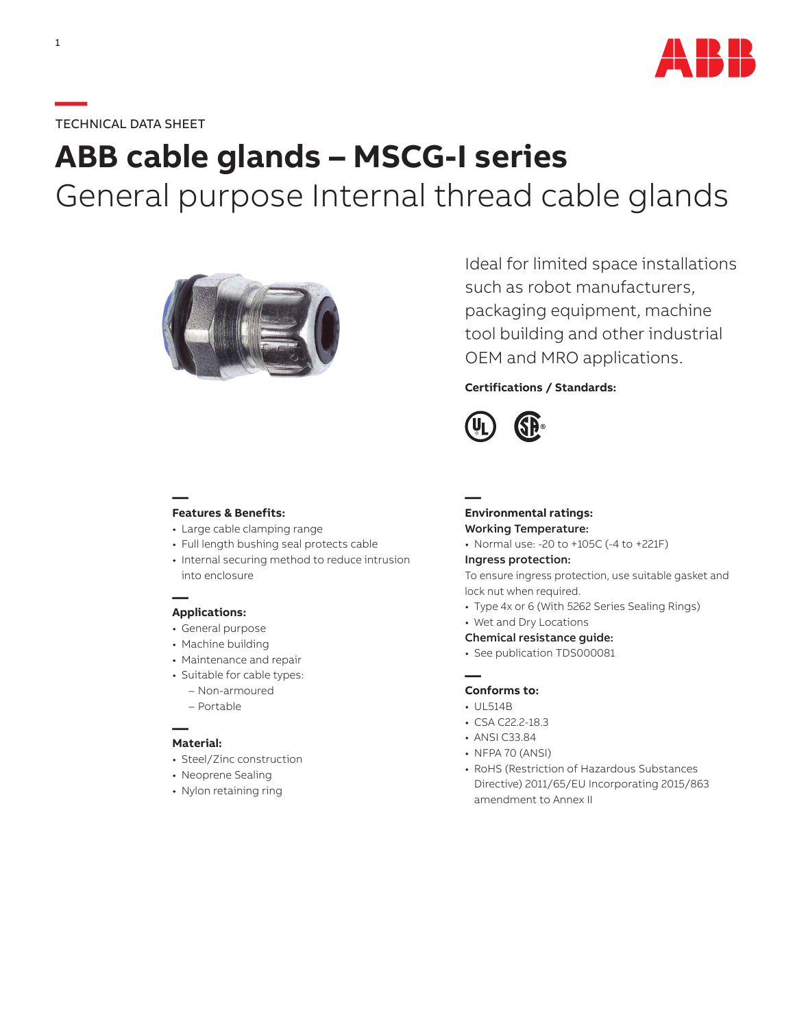

# **—**TECHNICAL DATA SHEET

# **ABB cable glands – MSCG-I series** General purpose Internal thread cable glands



Ideal for limited space installations such as robot manufacturers, packaging equipment, machine tool building and other industrial OEM and MRO applications.

## **Certifications / Standards:**



## **— Features & Benefits:**

- Large cable clamping range
- Full length bushing seal protects cable
- Internal securing method to reduce intrusion into enclosure

### **— Applications:**

- General purpose
- Machine building
- Maintenance and repair
- Suitable for cable types:
	- Non-armoured
	- Portable

#### **— Material:**

- Steel/Zinc construction
- Neoprene Sealing
- Nylon retaining ring

## **— Environmental ratings:** Working Temperature:

• Normal use: -20 to +105C (-4 to +221F)

#### Ingress protection:

To ensure ingress protection, use suitable gasket and lock nut when required.

- Type 4x or 6 (With 5262 Series Sealing Rings)
- Wet and Dry Locations
- Chemical resistance guide:
- See publication TDS000081

## **Conforms to:**

• UL514B

**—**

- CSA C22.2-18.3
- ANSI C33.84
- NFPA 70 (ANSI)
- RoHS (Restriction of Hazardous Substances Directive) 2011/65/EU Incorporating 2015/863 amendment to Annex II